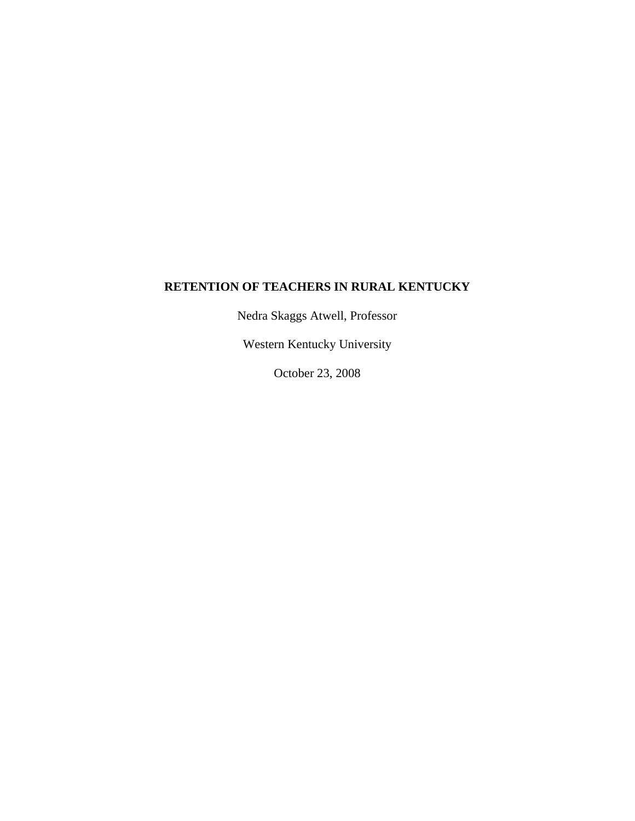# **RETENTION OF TEACHERS IN RURAL KENTUCKY**

Nedra Skaggs Atwell, Professor

Western Kentucky University

October 23, 2008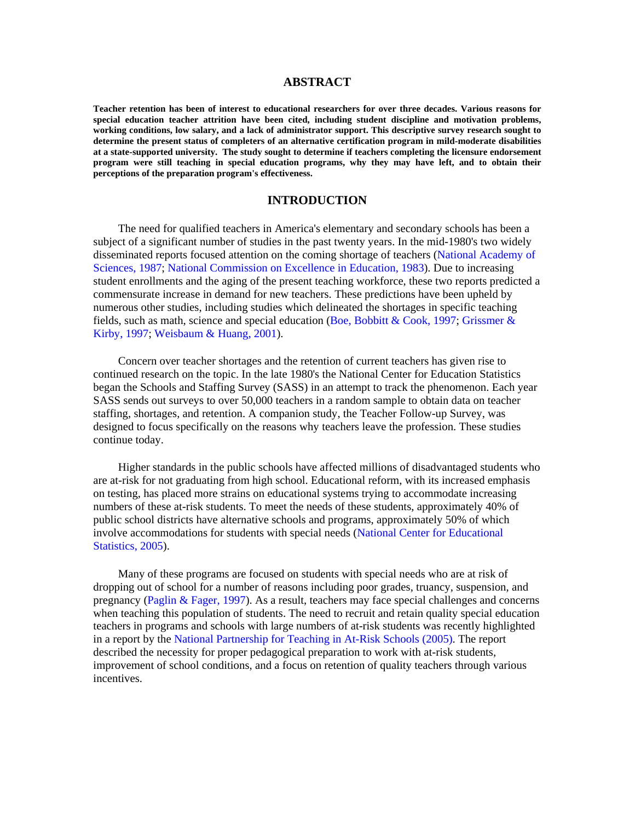#### **ABSTRACT**

**Teacher retention has been of interest to educational researchers for over three decades. Various reasons for special education teacher attrition have been cited, including student discipline and motivation problems, working conditions, low salary, and a lack of administrator support. This descriptive survey research sought to determine the present status of completers of an alternative certification program in mild-moderate disabilities at a state-supported university. The study sought to determine if teachers completing the licensure endorsement program were still teaching in special education programs, why they may have left, and to obtain their perceptions of the preparation program's effectiveness.** 

#### **INTRODUCTION**

The need for qualified teachers in America's elementary and secondary schools has been a subject of a significant number of studies in the past twenty years. In the mid-1980's two widely disseminated reports focused attention on the coming shortage of teachers (National Academy of Sciences, 1987; National Commission on Excellence in Education, 1983). Due to increasing student enrollments and the aging of the present teaching workforce, these two reports predicted a commensurate increase in demand for new teachers. These predictions have been upheld by numerous other studies, including studies which delineated the shortages in specific teaching fields, such as math, science and special education (Boe, Bobbitt & Cook, 1997; Grissmer & Kirby, 1997; Weisbaum & Huang, 2001).

Concern over teacher shortages and the retention of current teachers has given rise to continued research on the topic. In the late 1980's the National Center for Education Statistics began the Schools and Staffing Survey (SASS) in an attempt to track the phenomenon. Each year SASS sends out surveys to over 50,000 teachers in a random sample to obtain data on teacher staffing, shortages, and retention. A companion study, the Teacher Follow-up Survey, was designed to focus specifically on the reasons why teachers leave the profession. These studies continue today.

Higher standards in the public schools have affected millions of disadvantaged students who are at-risk for not graduating from high school. Educational reform, with its increased emphasis on testing, has placed more strains on educational systems trying to accommodate increasing numbers of these at-risk students. To meet the needs of these students, approximately 40% of public school districts have alternative schools and programs, approximately 50% of which involve accommodations for students with special needs (National Center for Educational Statistics, 2005).

Many of these programs are focused on students with special needs who are at risk of dropping out of school for a number of reasons including poor grades, truancy, suspension, and pregnancy (Paglin & Fager, 1997). As a result, teachers may face special challenges and concerns when teaching this population of students. The need to recruit and retain quality special education teachers in programs and schools with large numbers of at-risk students was recently highlighted in a report by the National Partnership for Teaching in At-Risk Schools (2005). The report described the necessity for proper pedagogical preparation to work with at-risk students, improvement of school conditions, and a focus on retention of quality teachers through various incentives.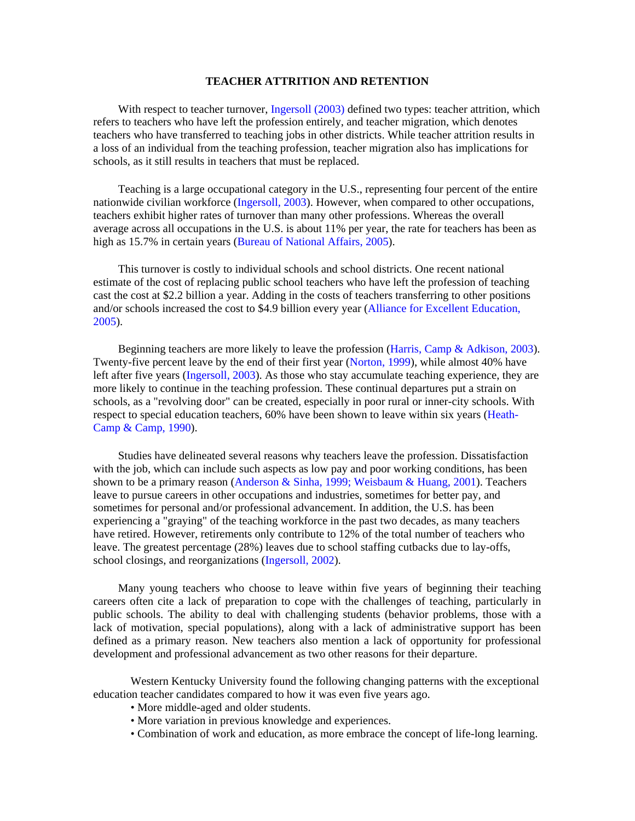## **TEACHER ATTRITION AND RETENTION**

With respect to teacher turnover, Ingersoll (2003) defined two types: teacher attrition, which refers to teachers who have left the profession entirely, and teacher migration, which denotes teachers who have transferred to teaching jobs in other districts. While teacher attrition results in a loss of an individual from the teaching profession, teacher migration also has implications for schools, as it still results in teachers that must be replaced.

Teaching is a large occupational category in the U.S., representing four percent of the entire nationwide civilian workforce (Ingersoll, 2003). However, when compared to other occupations, teachers exhibit higher rates of turnover than many other professions. Whereas the overall average across all occupations in the U.S. is about 11% per year, the rate for teachers has been as high as 15.7% in certain years (Bureau of National Affairs, 2005).

This turnover is costly to individual schools and school districts. One recent national estimate of the cost of replacing public school teachers who have left the profession of teaching cast the cost at \$2.2 billion a year. Adding in the costs of teachers transferring to other positions and/or schools increased the cost to \$4.9 billion every year (Alliance for Excellent Education, 2005).

Beginning teachers are more likely to leave the profession (Harris, Camp & Adkison, 2003). Twenty-five percent leave by the end of their first year (Norton, 1999), while almost 40% have left after five years (Ingersoll, 2003). As those who stay accumulate teaching experience, they are more likely to continue in the teaching profession. These continual departures put a strain on schools, as a "revolving door" can be created, especially in poor rural or inner-city schools. With respect to special education teachers, 60% have been shown to leave within six years (Heath-Camp & Camp, 1990).

Studies have delineated several reasons why teachers leave the profession. Dissatisfaction with the job, which can include such aspects as low pay and poor working conditions, has been shown to be a primary reason (Anderson & Sinha, 1999; Weisbaum & Huang, 2001). Teachers leave to pursue careers in other occupations and industries, sometimes for better pay, and sometimes for personal and/or professional advancement. In addition, the U.S. has been experiencing a "graying" of the teaching workforce in the past two decades, as many teachers have retired. However, retirements only contribute to 12% of the total number of teachers who leave. The greatest percentage (28%) leaves due to school staffing cutbacks due to lay-offs, school closings, and reorganizations (Ingersoll, 2002).

Many young teachers who choose to leave within five years of beginning their teaching careers often cite a lack of preparation to cope with the challenges of teaching, particularly in public schools. The ability to deal with challenging students (behavior problems, those with a lack of motivation, special populations), along with a lack of administrative support has been defined as a primary reason. New teachers also mention a lack of opportunity for professional development and professional advancement as two other reasons for their departure.

 Western Kentucky University found the following changing patterns with the exceptional education teacher candidates compared to how it was even five years ago.

- More middle-aged and older students.
- More variation in previous knowledge and experiences.
- Combination of work and education, as more embrace the concept of life-long learning.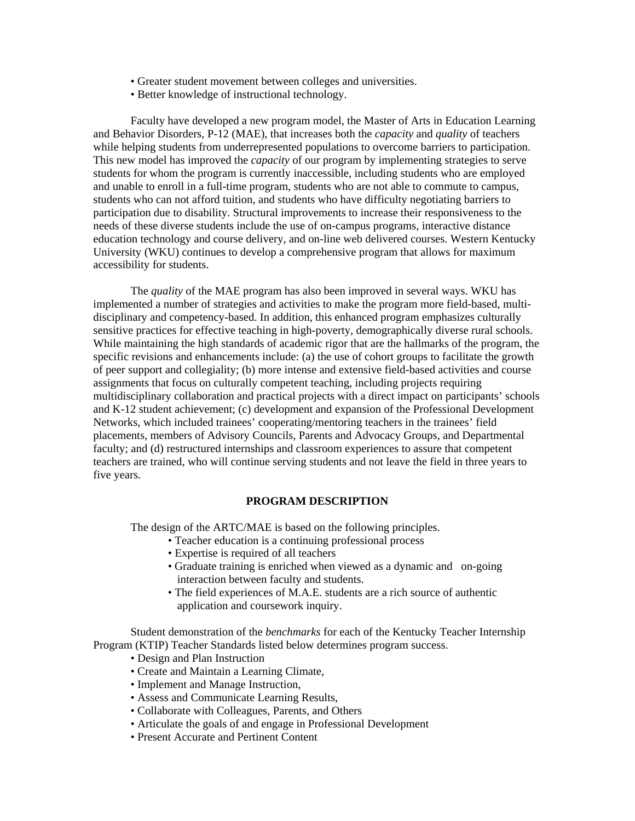- Greater student movement between colleges and universities.
- Better knowledge of instructional technology.

 Faculty have developed a new program model, the Master of Arts in Education Learning and Behavior Disorders, P-12 (MAE), that increases both the *capacity* and *quality* of teachers while helping students from underrepresented populations to overcome barriers to participation. This new model has improved the *capacity* of our program by implementing strategies to serve students for whom the program is currently inaccessible, including students who are employed and unable to enroll in a full-time program, students who are not able to commute to campus, students who can not afford tuition, and students who have difficulty negotiating barriers to participation due to disability. Structural improvements to increase their responsiveness to the needs of these diverse students include the use of on-campus programs, interactive distance education technology and course delivery, and on-line web delivered courses. Western Kentucky University (WKU) continues to develop a comprehensive program that allows for maximum accessibility for students.

The *quality* of the MAE program has also been improved in several ways. WKU has implemented a number of strategies and activities to make the program more field-based, multidisciplinary and competency-based. In addition, this enhanced program emphasizes culturally sensitive practices for effective teaching in high-poverty, demographically diverse rural schools. While maintaining the high standards of academic rigor that are the hallmarks of the program, the specific revisions and enhancements include: (a) the use of cohort groups to facilitate the growth of peer support and collegiality; (b) more intense and extensive field-based activities and course assignments that focus on culturally competent teaching, including projects requiring multidisciplinary collaboration and practical projects with a direct impact on participants' schools and K-12 student achievement; (c) development and expansion of the Professional Development Networks, which included trainees' cooperating/mentoring teachers in the trainees' field placements, members of Advisory Councils, Parents and Advocacy Groups, and Departmental faculty; and (d) restructured internships and classroom experiences to assure that competent teachers are trained, who will continue serving students and not leave the field in three years to five years.

#### **PROGRAM DESCRIPTION**

The design of the ARTC/MAE is based on the following principles.

- Teacher education is a continuing professional process
- Expertise is required of all teachers
- Graduate training is enriched when viewed as a dynamic and on-going interaction between faculty and students.
- The field experiences of M.A.E. students are a rich source of authentic application and coursework inquiry.

 Student demonstration of the *benchmarks* for each of the Kentucky Teacher Internship Program (KTIP) Teacher Standards listed below determines program success.

- Design and Plan Instruction
- Create and Maintain a Learning Climate,
- Implement and Manage Instruction,
- Assess and Communicate Learning Results,
- Collaborate with Colleagues, Parents, and Others
- Articulate the goals of and engage in Professional Development
- Present Accurate and Pertinent Content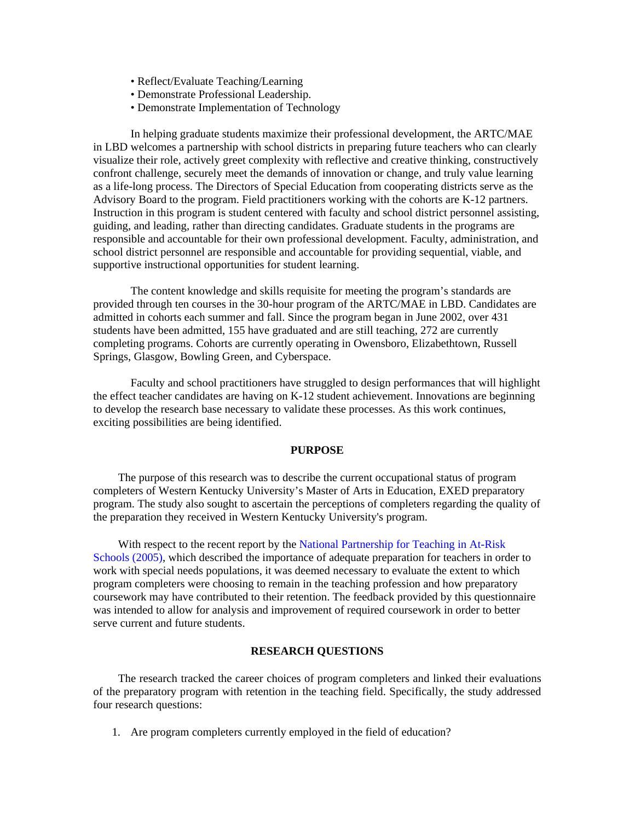- Reflect/Evaluate Teaching/Learning
- Demonstrate Professional Leadership.
- Demonstrate Implementation of Technology

 In helping graduate students maximize their professional development, the ARTC/MAE in LBD welcomes a partnership with school districts in preparing future teachers who can clearly visualize their role, actively greet complexity with reflective and creative thinking, constructively confront challenge, securely meet the demands of innovation or change, and truly value learning as a life-long process. The Directors of Special Education from cooperating districts serve as the Advisory Board to the program. Field practitioners working with the cohorts are K-12 partners. Instruction in this program is student centered with faculty and school district personnel assisting, guiding, and leading, rather than directing candidates. Graduate students in the programs are responsible and accountable for their own professional development. Faculty, administration, and school district personnel are responsible and accountable for providing sequential, viable, and supportive instructional opportunities for student learning.

 The content knowledge and skills requisite for meeting the program's standards are provided through ten courses in the 30-hour program of the ARTC/MAE in LBD. Candidates are admitted in cohorts each summer and fall. Since the program began in June 2002, over 431 students have been admitted, 155 have graduated and are still teaching, 272 are currently completing programs. Cohorts are currently operating in Owensboro, Elizabethtown, Russell Springs, Glasgow, Bowling Green, and Cyberspace.

 Faculty and school practitioners have struggled to design performances that will highlight the effect teacher candidates are having on K-12 student achievement. Innovations are beginning to develop the research base necessary to validate these processes. As this work continues, exciting possibilities are being identified.

### **PURPOSE**

The purpose of this research was to describe the current occupational status of program completers of Western Kentucky University's Master of Arts in Education, EXED preparatory program. The study also sought to ascertain the perceptions of completers regarding the quality of the preparation they received in Western Kentucky University's program.

With respect to the recent report by the National Partnership for Teaching in At-Risk Schools (2005), which described the importance of adequate preparation for teachers in order to work with special needs populations, it was deemed necessary to evaluate the extent to which program completers were choosing to remain in the teaching profession and how preparatory coursework may have contributed to their retention. The feedback provided by this questionnaire was intended to allow for analysis and improvement of required coursework in order to better serve current and future students.

### **RESEARCH QUESTIONS**

The research tracked the career choices of program completers and linked their evaluations of the preparatory program with retention in the teaching field. Specifically, the study addressed four research questions:

1. Are program completers currently employed in the field of education?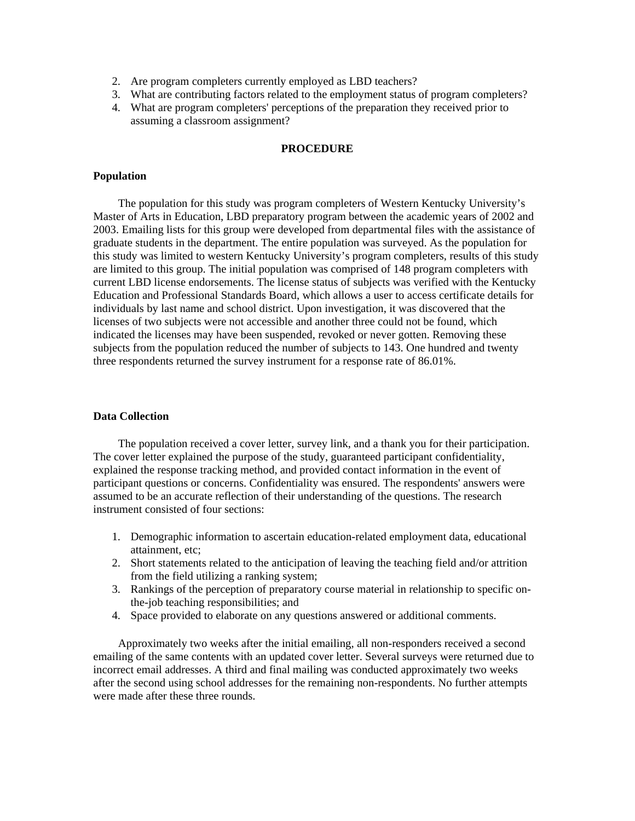- 2. Are program completers currently employed as LBD teachers?
- 3. What are contributing factors related to the employment status of program completers?
- 4. What are program completers' perceptions of the preparation they received prior to assuming a classroom assignment?

### **PROCEDURE**

#### **Population**

The population for this study was program completers of Western Kentucky University's Master of Arts in Education, LBD preparatory program between the academic years of 2002 and 2003. Emailing lists for this group were developed from departmental files with the assistance of graduate students in the department. The entire population was surveyed. As the population for this study was limited to western Kentucky University's program completers, results of this study are limited to this group. The initial population was comprised of 148 program completers with current LBD license endorsements. The license status of subjects was verified with the Kentucky Education and Professional Standards Board, which allows a user to access certificate details for individuals by last name and school district. Upon investigation, it was discovered that the licenses of two subjects were not accessible and another three could not be found, which indicated the licenses may have been suspended, revoked or never gotten. Removing these subjects from the population reduced the number of subjects to 143. One hundred and twenty three respondents returned the survey instrument for a response rate of 86.01%.

### **Data Collection**

The population received a cover letter, survey link, and a thank you for their participation. The cover letter explained the purpose of the study, guaranteed participant confidentiality, explained the response tracking method, and provided contact information in the event of participant questions or concerns. Confidentiality was ensured. The respondents' answers were assumed to be an accurate reflection of their understanding of the questions. The research instrument consisted of four sections:

- 1. Demographic information to ascertain education-related employment data, educational attainment, etc;
- 2. Short statements related to the anticipation of leaving the teaching field and/or attrition from the field utilizing a ranking system;
- 3. Rankings of the perception of preparatory course material in relationship to specific onthe-job teaching responsibilities; and
- 4. Space provided to elaborate on any questions answered or additional comments.

Approximately two weeks after the initial emailing, all non-responders received a second emailing of the same contents with an updated cover letter. Several surveys were returned due to incorrect email addresses. A third and final mailing was conducted approximately two weeks after the second using school addresses for the remaining non-respondents. No further attempts were made after these three rounds.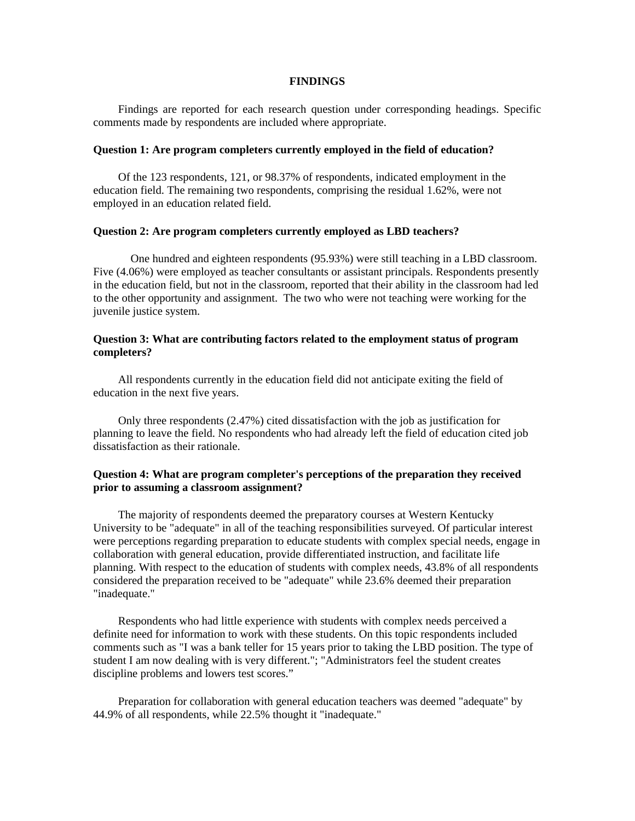#### **FINDINGS**

Findings are reported for each research question under corresponding headings. Specific comments made by respondents are included where appropriate.

#### **Question 1: Are program completers currently employed in the field of education?**

Of the 123 respondents, 121, or 98.37% of respondents, indicated employment in the education field. The remaining two respondents, comprising the residual 1.62%, were not employed in an education related field.

#### **Question 2: Are program completers currently employed as LBD teachers?**

 One hundred and eighteen respondents (95.93%) were still teaching in a LBD classroom. Five (4.06%) were employed as teacher consultants or assistant principals. Respondents presently in the education field, but not in the classroom, reported that their ability in the classroom had led to the other opportunity and assignment. The two who were not teaching were working for the juvenile justice system.

### **Question 3: What are contributing factors related to the employment status of program completers?**

All respondents currently in the education field did not anticipate exiting the field of education in the next five years.

Only three respondents (2.47%) cited dissatisfaction with the job as justification for planning to leave the field. No respondents who had already left the field of education cited job dissatisfaction as their rationale.

### **Question 4: What are program completer's perceptions of the preparation they received prior to assuming a classroom assignment?**

The majority of respondents deemed the preparatory courses at Western Kentucky University to be "adequate" in all of the teaching responsibilities surveyed. Of particular interest were perceptions regarding preparation to educate students with complex special needs, engage in collaboration with general education, provide differentiated instruction, and facilitate life planning. With respect to the education of students with complex needs, 43.8% of all respondents considered the preparation received to be "adequate" while 23.6% deemed their preparation "inadequate."

Respondents who had little experience with students with complex needs perceived a definite need for information to work with these students. On this topic respondents included comments such as "I was a bank teller for 15 years prior to taking the LBD position. The type of student I am now dealing with is very different."; "Administrators feel the student creates discipline problems and lowers test scores."

Preparation for collaboration with general education teachers was deemed "adequate" by 44.9% of all respondents, while 22.5% thought it "inadequate."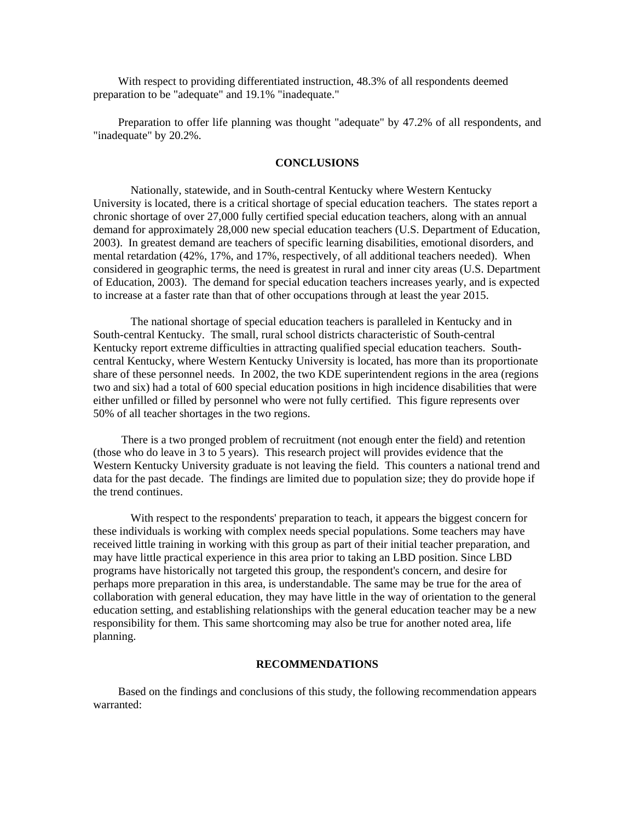With respect to providing differentiated instruction, 48.3% of all respondents deemed preparation to be "adequate" and 19.1% "inadequate."

Preparation to offer life planning was thought "adequate" by 47.2% of all respondents, and "inadequate" by 20.2%.

#### **CONCLUSIONS**

 Nationally, statewide, and in South-central Kentucky where Western Kentucky University is located, there is a critical shortage of special education teachers. The states report a chronic shortage of over 27,000 fully certified special education teachers, along with an annual demand for approximately 28,000 new special education teachers (U.S. Department of Education, 2003). In greatest demand are teachers of specific learning disabilities, emotional disorders, and mental retardation (42%, 17%, and 17%, respectively, of all additional teachers needed). When considered in geographic terms, the need is greatest in rural and inner city areas (U.S. Department of Education, 2003). The demand for special education teachers increases yearly, and is expected to increase at a faster rate than that of other occupations through at least the year 2015.

 The national shortage of special education teachers is paralleled in Kentucky and in South-central Kentucky. The small, rural school districts characteristic of South-central Kentucky report extreme difficulties in attracting qualified special education teachers. Southcentral Kentucky, where Western Kentucky University is located, has more than its proportionate share of these personnel needs. In 2002, the two KDE superintendent regions in the area (regions two and six) had a total of 600 special education positions in high incidence disabilities that were either unfilled or filled by personnel who were not fully certified. This figure represents over 50% of all teacher shortages in the two regions.

There is a two pronged problem of recruitment (not enough enter the field) and retention (those who do leave in 3 to 5 years). This research project will provides evidence that the Western Kentucky University graduate is not leaving the field. This counters a national trend and data for the past decade. The findings are limited due to population size; they do provide hope if the trend continues.

With respect to the respondents' preparation to teach, it appears the biggest concern for these individuals is working with complex needs special populations. Some teachers may have received little training in working with this group as part of their initial teacher preparation, and may have little practical experience in this area prior to taking an LBD position. Since LBD programs have historically not targeted this group, the respondent's concern, and desire for perhaps more preparation in this area, is understandable. The same may be true for the area of collaboration with general education, they may have little in the way of orientation to the general education setting, and establishing relationships with the general education teacher may be a new responsibility for them. This same shortcoming may also be true for another noted area, life planning.

### **RECOMMENDATIONS**

Based on the findings and conclusions of this study, the following recommendation appears warranted: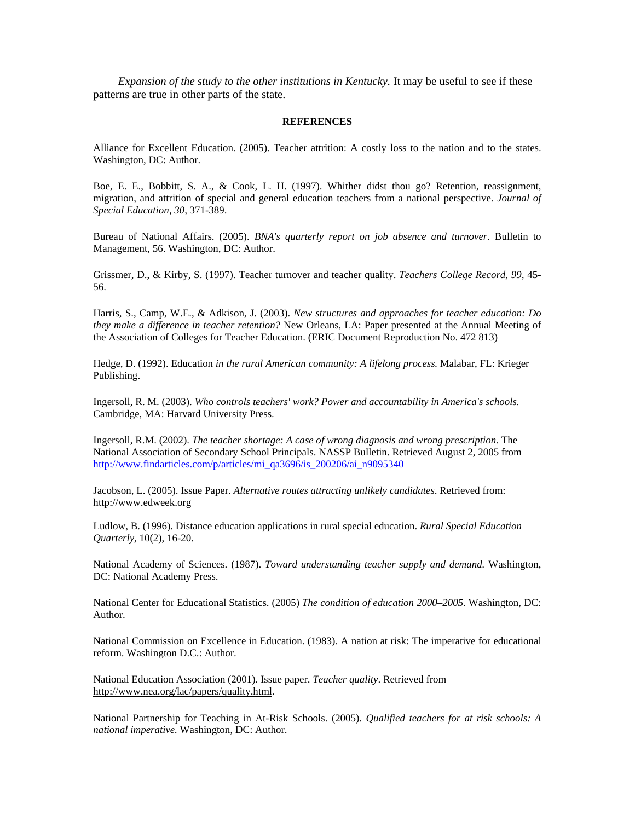*Expansion of the study to the other institutions in Kentucky.* It may be useful to see if these patterns are true in other parts of the state.

#### **REFERENCES**

Alliance for Excellent Education. (2005). Teacher attrition: A costly loss to the nation and to the states. Washington, DC: Author.

Boe, E. E., Bobbitt, S. A., & Cook, L. H. (1997). Whither didst thou go? Retention, reassignment, migration, and attrition of special and general education teachers from a national perspective. *Journal of Special Education, 30,* 371-389.

Bureau of National Affairs. (2005). *BNA's quarterly report on job absence and turnover.* Bulletin to Management, 56. Washington, DC: Author.

Grissmer, D., & Kirby, S. (1997). Teacher turnover and teacher quality. *Teachers College Record, 99,* 45- 56.

Harris, S., Camp, W.E., & Adkison, J. (2003). *New structures and approaches for teacher education: Do they make a difference in teacher retention?* New Orleans, LA: Paper presented at the Annual Meeting of the Association of Colleges for Teacher Education. (ERIC Document Reproduction No. 472 813)

Hedge, D. (1992). Education *in the rural American community: A lifelong process.* Malabar, FL: Krieger Publishing.

Ingersoll, R. M. (2003). *Who controls teachers' work? Power and accountability in America's schools.* Cambridge, MA: Harvard University Press.

Ingersoll, R.M. (2002). *The teacher shortage: A case of wrong diagnosis and wrong prescription.* The National Association of Secondary School Principals. NASSP Bulletin. Retrieved August 2, 2005 from http://www.findarticles.com/p/articles/mi\_qa3696/is\_200206/ai\_n9095340

Jacobson, L. (2005). Issue Paper. *Alternative routes attracting unlikely candidates*. Retrieved from: http://www.edweek.org

Ludlow, B. (1996). Distance education applications in rural special education. *Rural Special Education Quarterly*, 10(2), 16-20.

National Academy of Sciences. (1987). *Toward understanding teacher supply and demand.* Washington, DC: National Academy Press.

National Center for Educational Statistics. (2005) *The condition of education 2000–2005.* Washington, DC: Author.

National Commission on Excellence in Education. (1983). A nation at risk: The imperative for educational reform. Washington D.C.: Author.

National Education Association (2001). Issue paper. *Teacher quality*. Retrieved from http://www.nea.org/lac/papers/quality.html.

National Partnership for Teaching in At-Risk Schools. (2005). *Qualified teachers for at risk schools: A national imperative.* Washington, DC: Author.